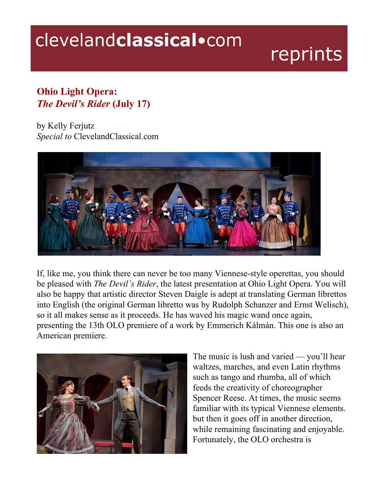## clevelandclassical.com

## reprints

## **Ohio Light Opera:** *The Devil's Rider* **(July 17)**

by Kelly Ferjutz *Special to* ClevelandClassical.com



If, like me, you think there can never be too many Viennese-style operettas, you should be pleased with *The Devil's Rider*, the latest presentation at Ohio Light Opera. You will also be happy that artistic director Steven Daigle is adept at translating German librettos into English (the original German libretto was by Rudolph Schanzer and Ernst Welisch), so it all makes sense as it proceeds. He has waved his magic wand once again, presenting the 13th OLO premiere of a work by Emmerich Kálmán. This one is also an American premiere.



The music is lush and varied — you'll hear waltzes, marches, and even Latin rhythms such as tango and rhumba, all of which feeds the creativity of choreographer Spencer Reese. At times, the music seems familiar with its typical Viennese elements. but then it goes off in another direction, while remaining fascinating and enjoyable. Fortunately, the OLO orchestra is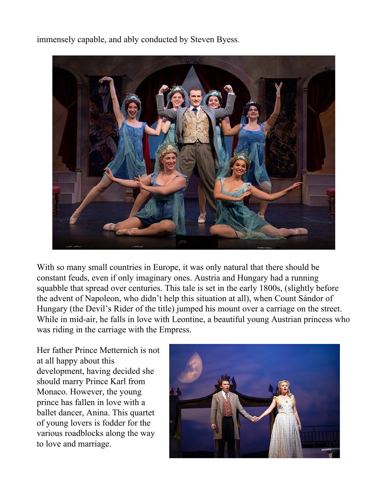immensely capable, and ably conducted by Steven Byess.



With so many small countries in Europe, it was only natural that there should be constant feuds, even if only imaginary ones. Austria and Hungary had a running squabble that spread over centuries. This tale is set in the early 1800s, (slightly before the advent of Napoleon, who didn't help this situation at all), when Count Sándor of Hungary (the Devil's Rider of the title) jumped his mount over a carriage on the street. While in mid-air, he falls in love with Leontine, a beautiful young Austrian princess who was riding in the carriage with the Empress.

Her father Prince Metternich is not at all happy about this development, having decided she should marry Prince Karl from Monaco. However, the young prince has fallen in love with a ballet dancer, Anina. This quartet of young lovers is fodder for the various roadblocks along the way to love and marriage.

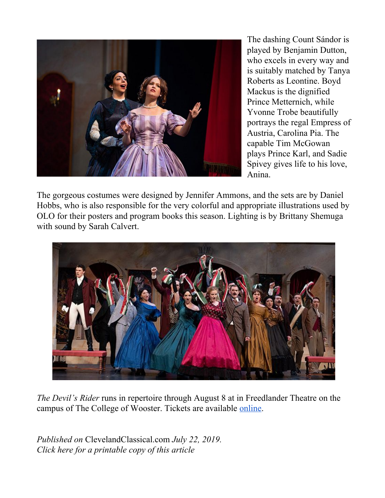

The dashing Count Sándor is played by Benjamin Dutton, who excels in every way and is suitably matched by Tanya Roberts as Leontine. Boyd Mackus is the dignified Prince Metternich, while Yvonne Trobe beautifully portrays the regal Empress of Austria, Carolina Pia. The capable Tim McGowan plays Prince Karl, and Sadie Spivey gives life to his love, Anina.

The gorgeous costumes were designed by Jennifer Ammons, and the sets are by Daniel Hobbs, who is also responsible for the very colorful and appropriate illustrations used by OLO for their posters and program books this season. Lighting is by Brittany Shemuga with sound by Sarah Calvert.



*The Devil's Rider* runs in repertoire through August 8 at in Freedlander Theatre on the campus of The College of Wooster. Tickets are available [online.](https://ohiolightopera.org/)

*Published on* ClevelandClassical.com *July 22, 2019. Click here for a printable copy of this article*